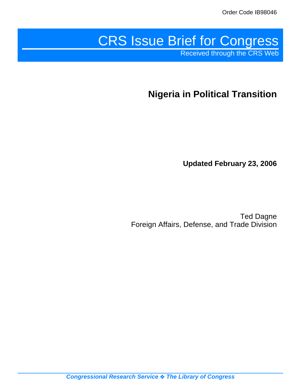# CRS Issue Brief for Congress Received through the CRS Web

**Nigeria in Political Transition**

**Updated February 23, 2006**

Ted Dagne Foreign Affairs, Defense, and Trade Division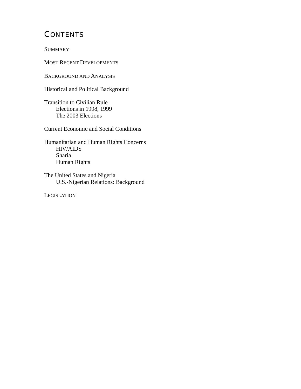# **CONTENTS**

**SUMMARY** 

MOST RECENT DEVELOPMENTS

BACKGROUND AND ANALYSIS

Historical and Political Background

Transition to Civilian Rule Elections in 1998, 1999 The 2003 Elections

Current Economic and Social Conditions

Humanitarian and Human Rights Concerns HIV/AIDS Sharia Human Rights

The United States and Nigeria U.S.-Nigerian Relations: Background

**LEGISLATION**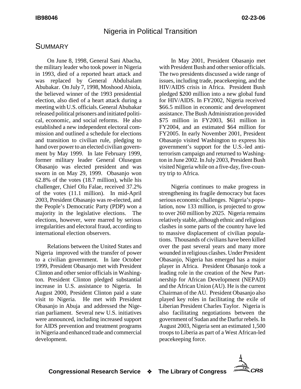#### Nigeria in Political Transition

#### **SUMMARY**

On June 8, 1998, General Sani Abacha, the military leader who took power in Nigeria in 1993, died of a reported heart attack and was replaced by General Abdulsalam Abubakar. On July 7, 1998, Moshood Abiola, the believed winner of the 1993 presidential election, also died of a heart attack during a meeting with U.S. officials. General Abubakar released political prisoners and initiated political, economic, and social reforms. He also established a new independent electoral commission and outlined a schedule for elections and transition to civilian rule, pledging to hand over power to an elected civilian government by May 1999. In late February 1999, former military leader General Olusegun Obasanjo was elected president and was sworn in on May 29, 1999. Obasanjo won 62.8% of the votes (18.7 million), while his challenger, Chief Olu Falae, received 37.2% of the votes (11.1 million). In mid-April 2003, President Obasanjo was re-elected, and the People's Democratic Party (PDP) won a majority in the legislative elections. The elections, however, were marred by serious irregularities and electoral fraud, according to international election observers.

Relations between the United States and Nigeria improved with the transfer of power to a civilian government. In late October 1999, President Obasanjo met with President Clinton and other senior officials in Washington. President Clinton pledged substantial increase in U.S. assistance to Nigeria. In August 2000, President Clinton paid a state visit to Nigeria. He met with President Obasanjo in Abuja and addressed the Nigerian parliament. Several new U.S. initiatives were announced, including increased support for AIDS prevention and treatment programs in Nigeria and enhanced trade and commercial development.

In May 2001, President Obasanjo met with President Bush and other senior officials. The two presidents discussed a wide range of issues, including trade, peacekeeping, and the HIV/AIDS crisis in Africa. President Bush pledged \$200 million into a new global fund for HIV/AIDS. In FY2002, Nigeria received \$66.5 million in economic and development assistance. The Bush Administration provided \$75 million in FY2003, \$61 million in FY2004, and an estimated \$64 million for FY2005. In early November 2001, President Obasanjo visited Washington to express his government's support for the U.S.-led antiterrorism campaign and returned to Washington in June 2002. In July 2003, President Bush visited Nigeria while on a five-day, five-country trip to Africa.

Nigeria continues to make progress in strengthening its fragile democracy but faces serious economic challenges. Nigeria's population, now 133 million, is projected to grow to over 260 million by 2025. Nigeria remains relatively stable, although ethnic and religious clashes in some parts of the country have led to massive displacement of civilian populations. Thousands of civilians have been killed over the past several years and many more wounded in religious clashes. Under President Obasanjo, Nigeria has emerged has a major player in Africa. President Obasanjo took a leading role in the creation of the New Partnership for African Development (NEPAD) and the African Union (AU). He is the current Chairman of the AU. President Obasanjo also played key roles in facilitating the exile of Liberian President Charles Taylor. Nigeria is also facilitating negotiations between the government of Sudan and the Darfur rebels. In August 2003, Nigeria sent an estimated 1,500 troops to Liberia as part of a West African-led peacekeeping force.

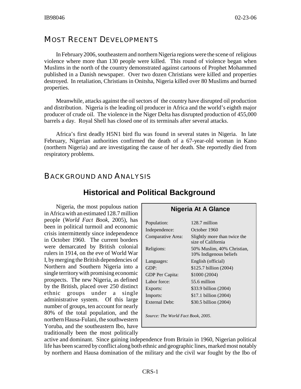# MOST RECENT DEVELOPMENTS

In February 2006, southeastern and northern Nigeria regions were the scene of religious violence where more than 130 people were killed. This round of violence began when Muslims in the north of the country demonstrated against cartoons of Prophet Mohammed published in a Danish newspaper. Over two dozen Christians were killed and properties destroyed. In retaliation, Christians in Onitsha, Nigeria killed over 80 Muslims and burned properties.

Meanwhile, attacks against the oil sectors of the country have disrupted oil production and distribution. Nigeria is the leading oil producer in Africa and the world's eighth major producer of crude oil. The violence in the Niger Delta has disrupted production of 455,000 barrels a day. Royal Shell has closed one of its terminals after several attacks.

Africa's first deadly H5N1 bird flu was found in several states in Nigeria. In late February, Nigerian authorities confirmed the death of a 67-year-old woman in Kano (northern Nigeria) and are investigating the cause of her death. She reportedly died from respiratory problems.

# BACKGROUND AND ANALYSIS

Nigeria, the most populous nation in Africa with an estimated 128.7 million people (*World Fact Book*, 2005), has been in political turmoil and economic crisis intermittently since independence in October 1960. The current borders were demarcated by British colonial rulers in 1914, on the eve of World War I, by merging the British dependencies of Northern and Southern Nigeria into a single territory with promising economic prospects. The new Nigeria, as defined by the British, placed over 250 distinct ethnic groups under a single administrative system. Of this large number of groups, ten account for nearly 80% of the total population, and the northern Hausa-Fulani, the southwestern Yoruba, and the southeastern Ibo, have traditionally been the most politically

| סטוואוט או או אויס                 |                                                      |  |  |  |  |
|------------------------------------|------------------------------------------------------|--|--|--|--|
| Population:                        | 128.7 million                                        |  |  |  |  |
| Independence:                      | October 1960                                         |  |  |  |  |
| Comparative Area:                  | Slightly more than twice the<br>size of California   |  |  |  |  |
| Religions:                         | 50% Muslim, 40% Christian,<br>10% Indigenous beliefs |  |  |  |  |
| Languages:                         | English (official)                                   |  |  |  |  |
| GDP:                               | \$125.7 billion (2004)                               |  |  |  |  |
| GDP Per Capita:                    | \$1000 (2004)                                        |  |  |  |  |
| Labor force:                       | 55.6 million                                         |  |  |  |  |
| Exports:                           | \$33.9 billion (2004)                                |  |  |  |  |
| Imports:                           | \$17.1 billion (2004)                                |  |  |  |  |
| <b>External Debt:</b>              | \$30.5 billion (2004)                                |  |  |  |  |
| Source: The World Fact Book, 2005. |                                                      |  |  |  |  |

**Nigeria At A Glance**

# **Historical and Political Background**

active and dominant. Since gaining independence from Britain in 1960, Nigerian political life has been scarred by conflict along both ethnic and geographic lines, marked most notably by northern and Hausa domination of the military and the civil war fought by the Ibo of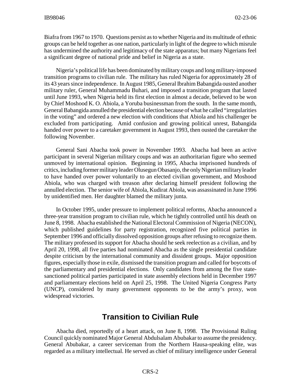Biafra from 1967 to 1970. Questions persist as to whether Nigeria and its multitude of ethnic groups can be held together as one nation, particularly in light of the degree to which misrule has undermined the authority and legitimacy of the state apparatus; but many Nigerians feel a significant degree of national pride and belief in Nigeria as a state.

Nigeria's political life has been dominated by military coups and long military-imposed transition programs to civilian rule. The military has ruled Nigeria for approximately 28 of its 43 years since independence. In August 1985, General Ibrahim Babangida ousted another military ruler, General Muhammadu Buhari, and imposed a transition program that lasted until June 1993, when Nigeria held its first election in almost a decade, believed to be won by Chief Moshood K. O. Abiola, a Yoruba businessman from the south. In the same month, General Babangida annulled the presidential election because of what he called "irregularities in the voting" and ordered a new election with conditions that Abiola and his challenger be excluded from participating. Amid confusion and growing political unrest, Babangida handed over power to a caretaker government in August 1993, then ousted the caretaker the following November.

General Sani Abacha took power in November 1993. Abacha had been an active participant in several Nigerian military coups and was an authoritarian figure who seemed unmoved by international opinion. Beginning in 1995, Abacha imprisoned hundreds of critics, including former military leader Olusegun Obasanjo, the only Nigerian military leader to have handed over power voluntarily to an elected civilian government, and Moshood Abiola, who was charged with treason after declaring himself president following the annulled election. The senior wife of Abiola, Kudirat Abiola, was assassinated in June 1996 by unidentified men. Her daughter blamed the military junta.

In October 1995, under pressure to implement political reforms, Abacha announced a three-year transition program to civilian rule, which he tightly controlled until his death on June 8, 1998. Abacha established the National Electoral Commission of Nigeria (NECON), which published guidelines for party registration, recognized five political parties in September 1996 and officially dissolved opposition groups after refusing to recognize them. The military professed its support for Abacha should he seek reelection as a civilian, and by April 20, 1998, all five parties had nominated Abacha as the single presidential candidate despite criticism by the international community and dissident groups. Major opposition figures, especially those in exile, dismissed the transition program and called for boycotts of the parliamentary and presidential elections. Only candidates from among the five statesanctioned political parties participated in state assembly elections held in December 1997 and parliamentary elections held on April 25, 1998. The United Nigeria Congress Party (UNCP), considered by many government opponents to be the army's proxy, won widespread victories.

## **Transition to Civilian Rule**

Abacha died, reportedly of a heart attack, on June 8, 1998. The Provisional Ruling Council quickly nominated Major General Abdulsalam Abubakar to assume the presidency. General Abubakar, a career serviceman from the Northern Hausa-speaking elite, was regarded as a military intellectual. He served as chief of military intelligence under General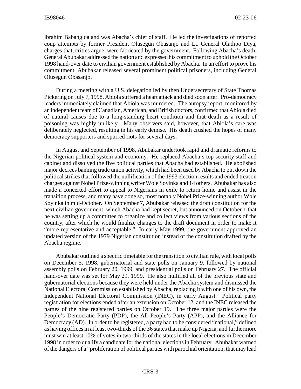Ibrahim Babangida and was Abacha's chief of staff. He led the investigations of reported coup attempts by former President Olusegun Obasanjo and Lt. General Oladipo Diya, charges that, critics argue, were fabricated by the government. Following Abacha's death, General Abubakar addressed the nation and expressed his commitment to uphold the October 1998 hand-over date to civilian government established by Abacha. In an effort to prove his commitment, Abubakar released several prominent political prisoners, including General Olusegun Obasanjo.

During a meeting with a U.S. delegation led by then Undersecretary of State Thomas Pickering on July 7, 1998, Abiola suffered a heart attack and died soon after. Pro-democracy leaders immediately claimed that Abiola was murdered. The autopsy report, monitored by an independent team of Canadian, American, and British doctors, confirmed that Abiola died of natural causes due to a long-standing heart condition and that death as a result of poisoning was highly unlikely. Many observers said, however, that Abiola's care was deliberately neglected, resulting in his early demise. His death crushed the hopes of many democracy supporters and spurred riots for several days.

In August and September of 1998, Abubakar undertook rapid and dramatic reforms to the Nigerian political system and economy. He replaced Abacha's top security staff and cabinet and dissolved the five political parties that Abacha had established. He abolished major decrees banning trade union activity, which had been used by Abacha to put down the political strikes that followed the nullification of the 1993 election results and ended treason charges against Nobel Prize-winning writer Wole Soyinka and 14 others. Abubakar has also made a concerted effort to appeal to Nigerians in exile to return home and assist in the transition process, and many have done so, most notably Nobel Prize-winning author Wole Soyinka in mid-October. On September 7, Abubakar released the draft constitution for the next civilian government, which Abacha had kept secret, but announced on October 1 that he was setting up a committee to organize and collect views from various sections of the country, after which he would finalize changes to the draft document in order to make it "more representative and acceptable." In early May 1999, the government approved an updated version of the 1979 Nigerian constitution instead of the constitution drafted by the Abacha regime.

Abubakar outlined a specific timetable for the transition to civilian rule, with local polls on December 5, 1998, gubernatorial and state polls on January 9, followed by national assembly polls on February 20, 1999, and presidential polls on February 27. The official hand-over date was set for May 29, 1999. He also nullified all of the previous state and gubernatorial elections because they were held under the Abacha system and dismissed the National Electoral Commission established by Abacha, replacing it with one of his own, the Independent National Electoral Commission (INEC), in early August. Political party registration for elections ended after an extension on October 12, and the INEC released the names of the nine registered parties on October 19. The three major parties were the People's Democratic Party (PDP), the All People's Party (APP), and the Alliance for Democracy (AD). In order to be registered, a party had to be considered "national," defined as having offices in at least two-thirds of the 36 states that make up Nigeria, and furthermore must win at least 10% of votes in two-thirds of the states in the local elections in December 1998 in order to qualify a candidate for the national elections in February. Abubakar warned of the dangers of a "proliferation of political parties with parochial orientation, that may lead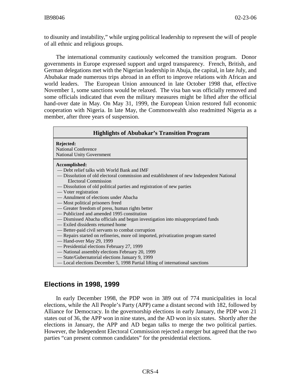to disunity and instability," while urging political leadership to represent the will of people of all ethnic and religious groups.

The international community cautiously welcomed the transition program. Donor governments in Europe expressed support and urged transparency. French, British, and German delegations met with the Nigerian leadership in Abuja, the capital, in late July, and Abubakar made numerous trips abroad in an effort to improve relations with African and world leaders. The European Union announced in late October 1998 that, effective November 1, some sanctions would be relaxed. The visa ban was officially removed and some officials indicated that even the military measures might be lifted after the official hand-over date in May. On May 31, 1999, the European Union restored full economic cooperation with Nigeria. In late May, the Commonwealth also readmitted Nigeria as a member, after three years of suspension.

| <b>Highlights of Abubakar's Transition Program</b>                                                                                                                                                                                                                                                                                                                                                                                                                                                                                                                                                                                                                                                                                                                                                                                                              |  |  |  |  |  |
|-----------------------------------------------------------------------------------------------------------------------------------------------------------------------------------------------------------------------------------------------------------------------------------------------------------------------------------------------------------------------------------------------------------------------------------------------------------------------------------------------------------------------------------------------------------------------------------------------------------------------------------------------------------------------------------------------------------------------------------------------------------------------------------------------------------------------------------------------------------------|--|--|--|--|--|
| Rejected:<br><b>National Conference</b>                                                                                                                                                                                                                                                                                                                                                                                                                                                                                                                                                                                                                                                                                                                                                                                                                         |  |  |  |  |  |
| <b>National Unity Government</b>                                                                                                                                                                                                                                                                                                                                                                                                                                                                                                                                                                                                                                                                                                                                                                                                                                |  |  |  |  |  |
| Accomplished:<br>- Debt relief talks with World Bank and IMF<br>- Dissolution of old electoral commission and establishment of new Independent National<br>Electoral Commission<br>- Dissolution of old political parties and registration of new parties<br>$-$ Voter registration<br>— Annulment of elections under Abacha<br>— Most political prisoners freed<br>— Greater freedom of press, human rights better<br>- Publicized and amended 1995 constitution<br>- Dismissed Abacha officials and began investigation into misappropriated funds<br>— Exiled dissidents returned home<br>— Better-paid civil servants to combat corruption<br>- Repairs started on refineries, more oil imported, privatization program started<br>— Hand-over May 29, 1999<br>- Presidential elections February 27, 1999<br>-National assembly elections February 20, 1999 |  |  |  |  |  |
| - State/Gubernatorial elections January 9, 1999<br>-Local elections December 5, 1998 Partial lifting of international sanctions                                                                                                                                                                                                                                                                                                                                                                                                                                                                                                                                                                                                                                                                                                                                 |  |  |  |  |  |

#### **Elections in 1998, 1999**

In early December 1998, the PDP won in 389 out of 774 municipalities in local elections, while the All People's Party (APP) came a distant second with 182, followed by Alliance for Democracy. In the governorship elections in early January, the PDP won 21 states out of 36, the APP won in nine states, and the AD won in six states. Shortly after the elections in January, the APP and AD began talks to merge the two political parties. However, the Independent Electoral Commission rejected a merger but agreed that the two parties "can present common candidates" for the presidential elections.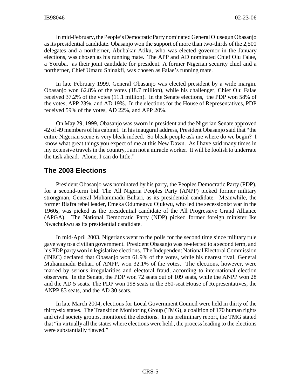In mid-February, the People's Democratic Party nominated General Olusegun Obasanjo as its presidential candidate. Obasanjo won the support of more than two-thirds of the 2,500 delegates and a northerner, Abubakar Atiku, who was elected governor in the January elections, was chosen as his running mate. The APP and AD nominated Chief Olu Falae, a Yoruba, as their joint candidate for president. A former Nigerian security chief and a northerner, Chief Umaru Shinakfi, was chosen as Falae's running mate.

In late February 1999, General Obasanjo was elected president by a wide margin. Obasanjo won 62.8% of the votes (18.7 million), while his challenger, Chief Olu Falae received 37.2% of the votes (11.1 million). In the Senate elections, the PDP won 58% of the votes, APP 23%, and AD 19%. In the elections for the House of Representatives, PDP received 59% of the votes, AD 22%, and APP 20%.

On May 29, 1999, Obasanjo was sworn in president and the Nigerian Senate approved 42 of 49 members of his cabinet. In his inaugural address, President Obasanjo said that "the entire Nigerian scene is very bleak indeed. So bleak people ask me where do we begin? I know what great things you expect of me at this New Dawn. As I have said many times in my extensive travels in the country, I am not a miracle worker. It will be foolish to underrate the task ahead. Alone, I can do little."

#### **The 2003 Elections**

President Obasanjo was nominated by his party, the Peoples Democratic Party (PDP), for a second-term bid. The All Nigeria Peoples Party (ANPP) picked former military strongman, General Muhammadu Buhari, as its presidential candidate. Meanwhile, the former Biafra rebel leader, Emeka Odumegwu Ojukwu, who led the secessionist war in the 1960s, was picked as the presidential candidate of the All Progressive Grand Alliance (APGA). The National Democratic Party (NDP) picked former foreign minister Ike Nwachukwu as its presidential candidate.

In mid-April 2003, Nigerians went to the polls for the second time since military rule gave way to a civilian government. President Obasanjo was re-elected to a second term, and his PDP party won in legislative elections. The Independent National Electoral Commission (INEC) declared that Obasanjo won 61.9% of the votes, while his nearest rival, General Muhammadu Buhari of ANPP, won 32.1% of the votes. The elections, however, were marred by serious irregularities and electoral fraud, according to international election observers. In the Senate, the PDP won 72 seats out of 109 seats, while the ANPP won 28 and the AD 5 seats. The PDP won 198 seats in the 360-seat House of Representatives, the ANPP 83 seats, and the AD 30 seats.

In late March 2004, elections for Local Government Council were held in thirty of the thirty-six states. The Transition Monitoring Group (TMG), a coalition of 170 human rights and civil society groups, monitored the elections. In its preliminary report, the TMG stated that "in virtually all the states where elections were held , the process leading to the elections were substantially flawed."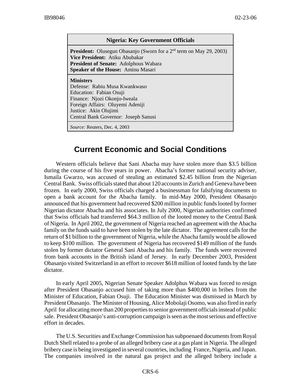| <b>Nigeria: Key Government Officials</b>                                                                                                                                                                              |  |  |  |  |  |
|-----------------------------------------------------------------------------------------------------------------------------------------------------------------------------------------------------------------------|--|--|--|--|--|
| <b>President:</b> Olusegun Obasanjo (Sworn for a 2 <sup>nd</sup> term on May 29, 2003)<br>Vice President: Atiku Abubakar<br><b>President of Senate:</b> Adolphous Wabara<br><b>Speaker of the House: Aminu Masari</b> |  |  |  |  |  |
| <b>Ministers</b><br>Defense: Rabiu Musa Kwankwaso<br>Education: Fabian Osuji<br>Finance: Njozi Okonjo-Iweala<br>Foreign Affairs: Oluyemi Adeniji<br>Justice: Akin Olujimi<br>Central Bank Governor: Joseph Sanusi     |  |  |  |  |  |
| Source: Reuters, Dec. 4, 2003                                                                                                                                                                                         |  |  |  |  |  |

# **Current Economic and Social Conditions**

Western officials believe that Sani Abacha may have stolen more than \$3.5 billion during the course of his five years in power. Abacha's former national security adviser, Ismaila Gwarzo, was accused of stealing an estimated \$2.45 billion from the Nigerian Central Bank. Swiss officials stated that about 120 accounts in Zurich and Geneva have been frozen. In early 2000, Swiss officials charged a businessman for falsifying documents to open a bank account for the Abacha family. In mid-May 2000, President Obasanjo announced that his government had recovered \$200 million in public funds looted by former Nigerian dictator Abacha and his associates. In July 2000, Nigerian authorities confirmed that Swiss officials had transferred \$64.3 million of the looted money to the Central Bank of Nigeria. In April 2002, the government of Nigeria reached an agreement with the Abacha family on the funds said to have been stolen by the late dictator. The agreement calls for the return of \$1 billion to the government of Nigeria, while the Abacha family would be allowed to keep \$100 million. The government of Nigeria has recovered \$149 million of the funds stolen by former dictator General Sani Abacha and his family. The funds were recovered from bank accounts in the British island of Jersey. In early December 2003, President Obasanjo visited Switzerland in an effort to recover \$618 million of looted funds by the late dictator.

In early April 2005, Nigerian Senate Speaker Adolphus Wabara was forced to resign after President Obasanjo accused him of taking more than \$400,000 in bribes from the Minister of Education, Fabian Osuji. The Education Minister was dismissed in March by President Obasanjo. The Minister of Housing, Alice Mobolaji Osomo, was also fired in early April for allocating more than 200 properties to senior government officials instead of public sale. President Obasanjo's anti-corruption campaign is seen as the most serious and effective effort in decades.

The U.S. Securities and Exchange Commission has subpoenaed documents from Royal Dutch Shell related to a probe of an alleged bribery case at a gas plant in Nigeria. The alleged bribery case is being investigated in several countries, including France, Nigeria, and Japan. The companies involved in the natural gas project and the alleged bribery include a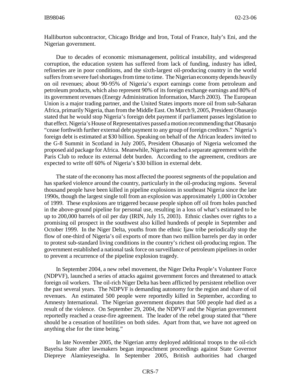Halliburton subcontractor, Chicago Bridge and Iron, Total of France, Italy's Eni, and the Nigerian government.

Due to decades of economic mismanagement, political instability, and widespread corruption, the education system has suffered from lack of funding, industry has idled, refineries are in poor conditions, and the sixth-largest oil-producing country in the world suffers from severe fuel shortages from time to time. The Nigerian economy depends heavily on oil revenues; about 90-95% of Nigeria's export earnings come from petroleum and petroleum products, which also represent 90% of its foreign exchange earnings and 80% of its government revenues (Energy Administration Information, March 2003). The European Union is a major trading partner, and the United States imports more oil from sub-Saharan Africa, primarily Nigeria, than from the Middle East. On March 9, 2005, President Obasanjo stated that he would stop Nigeria's foreign debt payment if parliament passes legislation to that effect. Nigeria's House of Representatives passed a motion recommending that Obasanjo "cease forthwith further external debt payment to any group of foreign creditors." Nigeria's foreign debt is estimated at \$30 billion. Speaking on behalf of the African leaders invited to the G-8 Summit in Scotland in July 2005, President Obasanjo of Nigeria welcomed the proposed aid package for Africa. Meanwhile, Nigeria reached a separate agreement with the Paris Club to reduce its external debt burden. According to the agreement, creditors are expected to write off 60% of Nigeria's \$30 billion in external debt.

The state of the economy has most affected the poorest segments of the population and has sparked violence around the country, particularly in the oil-producing regions. Several thousand people have been killed in pipeline explosions in southeast Nigeria since the late 1990s, though the largest single toll from an explosion was approximately 1,000 in October of 1999. These explosions are triggered because people siphon off oil from holes punched in the above-ground pipeline for personal use, resulting in a loss of what's estimated to be up to 200,000 barrels of oil per day (IRIN, July 15, 2003). Ethnic clashes over rights to a promising oil prospect in the southwest also killed hundreds of people in September and October 1999. In the Niger Delta, youths from the ethnic Ijaw tribe periodically stop the flow of one-third of Nigeria's oil exports of more than two million barrels per day in order to protest sub-standard living conditions in the country's richest oil-producing region. The government established a national task force on surveillance of petroleum pipelines in order to prevent a recurrence of the pipeline explosion tragedy.

In September 2004, a new rebel movement, the Niger Delta People's Volunteer Force (NDPVF), launched a series of attacks against government forces and threatened to attack foreign oil workers. The oil-rich Niger Delta has been afflicted by persistent rebellion over the past several years. The NDPVF is demanding autonomy for the region and share of oil revenues. An estimated 500 people were reportedly killed in September, according to Amnesty International. The Nigerian government disputes that 500 people had died as a result of the violence. On September 29, 2004, the NDPVF and the Nigerian government reportedly reached a cease-fire agreement. The leader of the rebel group stated that "there should be a cessation of hostilities on both sides. Apart from that, we have not agreed on anything else for the time being."

In late November 2005, the Nigerian army deployed additional troops to the oil-rich Bayelsa State after lawmakers began impeachment proceedings against State Governor Diepreye Alamieyeseigha. In September 2005, British authorities had charged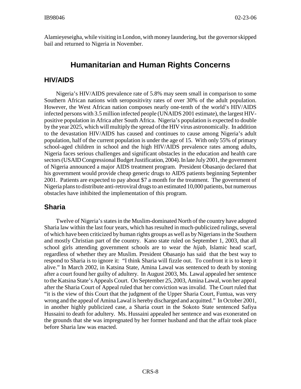Alamieyeseigha, while visiting in London, with money laundering, but the governor skipped bail and returned to Nigeria in November.

## **Humanitarian and Human Rights Concerns**

#### **HIV/AIDS**

Nigeria's HIV/AIDS prevalence rate of 5.8% may seem small in comparison to some Southern African nations with seropositivity rates of over 30% of the adult population. However, the West African nation composes nearly one-tenth of the world's HIV/AIDS infected persons with 3.5 million infected people (UNAIDS 2001 estimate), the largest HIVpositive population in Africa after South Africa. Nigeria's population is expected to double by the year 2025, which will multiply the spread of the HIV virus astronomically. In addition to the devastation HIV/AIDS has caused and continues to cause among Nigeria's adult population, half of the current population is under the age of 15. With only 55% of primary school-aged children in school and the high HIV/AIDS prevalence rates among adults, Nigeria faces serious challenges and significant obstacles in the education and health care sectors (USAID Congressional Budget Justification, 2004). In late July 2001, the government of Nigeria announced a major AIDS treatment program. President Obasanjo declared that his government would provide cheap generic drugs to AIDS patients beginning September 2001. Patients are expected to pay about \$7 a month for the treatment. The government of Nigeria plans to distribute anti-retroviral drugs to an estimated 10,000 patients, but numerous obstacles have inhibited the implementation of this program.

#### **Sharia**

Twelve of Nigeria's states in the Muslim-dominated North of the country have adopted Sharia law within the last four years, which has resulted in much-publicized rulings, several of which have been criticized by human rights groups as well as by Nigerians in the Southern and mostly Christian part of the country. Kano state ruled on September 1, 2003, that all school girls attending government schools are to wear the *hijab*, Islamic head scarf, regardless of whether they are Muslim. President Obasanjo has said that the best way to respond to Sharia is to ignore it: "I think Sharia will fizzle out. To confront it is to keep it alive." In March 2002, in Katsina State, Amina Lawal was sentenced to death by stoning after a court found her guilty of adultery. In August 2003, Ms. Lawal appealed her sentence to the Katsina State's Appeals Court. On September 25, 2003, Amina Lawal, won her appeal after the Sharia Court of Appeal ruled that her conviction was invalid. The Court ruled that "it is the view of this Court that the judgment of the Upper Sharia Court, Funtua, was very wrong and the appeal of Amina Lawal is hereby discharged and acquitted." In October 2001, in another highly publicized case, a Sharia court in the Sokoto State sentenced Safiya Hussaini to death for adultery. Ms. Hussaini appealed her sentence and was exonerated on the grounds that she was impregnated by her former husband and that the affair took place before Sharia law was enacted.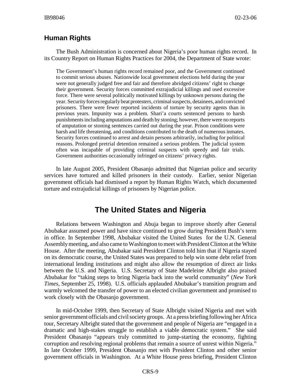#### **Human Rights**

The Bush Administration is concerned about Nigeria's poor human rights record. In its Country Report on Human Rights Practices for 2004, the Department of State wrote:

The Government's human rights record remained poor, and the Government continued to commit serious abuses. Nationwide local government elections held during the year were not generally judged free and fair and therefore abridged citizens' right to change their government. Security forces committed extrajudicial killings and used excessive force. There were several politically motivated killings by unknown persons during the year. Security forces regularly beat protesters, criminal suspects, detainees, and convicted prisoners. There were fewer reported incidents of torture by security agents than in previous years. Impunity was a problem. Shari'a courts sentenced persons to harsh punishments including amputations and death by stoning; however, there were no reports of amputation or stoning sentences carried out during the year. Prison conditions were harsh and life threatening, and conditions contributed to the death of numerous inmates. Security forces continued to arrest and detain persons arbitrarily, including for political reasons. Prolonged pretrial detention remained a serious problem. The judicial system often was incapable of providing criminal suspects with speedy and fair trials. Government authorities occasionally infringed on citizens' privacy rights.

In late August 2005, President Obasanjo admitted that Nigerian police and security services have tortured and killed prisoners in their custody. Earlier, senior Nigerian government officials had dismissed a report by Human Rights Watch, which documented torture and extrajudicial killings of prisoners by Nigerian police.

## **The United States and Nigeria**

Relations between Washington and Abuja began to improve shortly after General Abubakar assumed power and have since continued to grow during President Bush's term in office. In September 1998, Abubakar visited the United States for the U.N. General Assembly meeting, and also came to Washington to meet with President Clinton at the White House. After the meeting, Abubakar said President Clinton told him that if Nigeria stayed on its democratic course, the United States was prepared to help win some debt relief from international lending institutions and might also allow the resumption of direct air links between the U.S. and Nigeria. U.S. Secretary of State Madeleine Albright also praised Abubakar for "taking steps to bring Nigeria back into the world community" (*New York Times*, September 25, 1998). U.S. officials applauded Abubakar's transition program and warmly welcomed the transfer of power to an elected civilian government and promised to work closely with the Obasanjo government.

In mid-October 1999, then Secretary of State Albright visited Nigeria and met with senior government officials and civil society groups. At a press briefing following her Africa tour, Secretary Albright stated that the government and people of Nigeria are "engaged in a dramatic and high-stakes struggle to establish a viable democratic system." She said President Obasanjo "appears truly committed to jump-starting the economy, fighting corruption and resolving regional problems that remain a source of unrest within Nigeria." In late October 1999, President Obasanjo met with President Clinton and other senior government officials in Washington. At a White House press briefing, President Clinton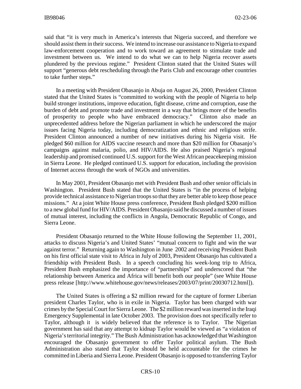said that "it is very much in America's interests that Nigeria succeed, and therefore we should assist them in their success. We intend to increase our assistance to Nigeria to expand law-enforcement cooperation and to work toward an agreement to stimulate trade and investment between us. We intend to do what we can to help Nigeria recover assets plundered by the previous regime." President Clinton stated that the United States will support "generous debt rescheduling through the Paris Club and encourage other countries to take further steps."

In a meeting with President Obasanjo in Abuja on August 26, 2000, President Clinton stated that the United States is "committed to working with the people of Nigeria to help build stronger institutions, improve education, fight disease, crime and corruption, ease the burden of debt and promote trade and investment in a way that brings more of the benefits of prosperity to people who have embraced democracy." Clinton also made an unprecedented address before the Nigerian parliament in which he underscored the major issues facing Nigeria today, including democratization and ethnic and religious strife. President Clinton announced a number of new initiatives during his Nigeria visit. He pledged \$60 million for AIDS vaccine research and more than \$20 million for Obasanjo's campaigns against malaria, polio, and HIV/AIDS. He also praised Nigeria's regional leadership and promised continued U.S. support for the West African peacekeeping mission in Sierra Leone. He pledged continued U.S. support for education, including the provision of Internet access through the work of NGOs and universities.

In May 2001, President Obasanjo met with President Bush and other senior officials in Washington. President Bush stated that the United States is "in the process of helping provide technical assistance to Nigerian troops so that they are better able to keep those peace missions." At a joint White House press conference, President Bush pledged \$200 million to a new global fund for HIV/AIDS. President Obasanjo said he discussed a number of issues of mutual interest, including the conflicts in Angola, Democratic Republic of Congo, and Sierra Leone.

President Obasanjo returned to the White House following the September 11, 2001, attacks to discuss Nigeria's and United States' "mutual concern to fight and win the war against terror." Returning again to Washington in June 2002 and receiving President Bush on his first official state visit to Africa in July of 2003, President Obasanjo has cultivated a friendship with President Bush. In a speech concluding his week-long trip to Africa, President Bush emphasized the importance of "partnerships" and underscored that "the relationship between America and Africa will benefit both our people" (see White House press release [http://www.whitehouse.gov/news/releases/2003/07/print/20030712.html]).

The United States is offering a \$2 million reward for the capture of former Liberian president Charles Taylor, who is in exile in Nigeria. Taylor has been charged with war crimes by the Special Court for Sierra Leone. The \$2 million reward was inserted in the Iraqi Emergency Supplemental in late October 2003. The provision does not specifically refer to Taylor, although it is widely believed that the reference is to Taylor. The Nigerian government has said that any attempt to kidnap Taylor would be viewed as "a violation of Nigeria's territorial integrity." The Bush Administration has acknowledged that Washington encouraged the Obasanjo government to offer Taylor political asylum. The Bush Administration also stated that Taylor should be held accountable for the crimes he committed in Liberia and Sierra Leone. President Obasanjo is opposed to transferring Taylor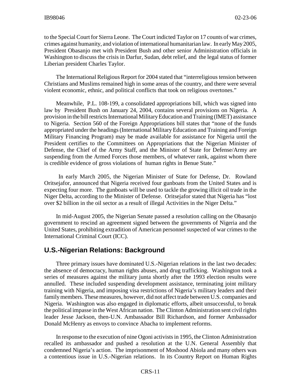to the Special Court for Sierra Leone. The Court indicted Taylor on 17 counts of war crimes, crimes against humanity, and violation of international humanitarian law. In early May 2005, President Obasanjo met with President Bush and other senior Administration officials in Washington to discuss the crisis in Darfur, Sudan, debt relief, and the legal status of former Liberian president Charles Taylor.

The International Religious Report for 2004 stated that "interreligious tension between Christians and Muslims remained high in some areas of the country, and there were several violent economic, ethnic, and political conflicts that took on religious overtones."

Meanwhile, P.L. 108-199, a consolidated appropriations bill, which was signed into law by President Bush on January 24, 2004, contains several provisions on Nigeria. A provision in the bill restricts International Military Education and Training (IMET) assistance to Nigeria. Section 560 of the Foreign Appropriations bill states that "none of the funds appropriated under the headings (International Military Education and Training and Foreign Military Financing Program) may be made available for assistance for Nigeria until the President certifies to the Committees on Appropriations that the Nigerian Minister of Defense, the Chief of the Army Staff, and the Minister of State for Defense/Army are suspending from the Armed Forces those members, of whatever rank, against whom there is credible evidence of gross violations of human rights in Benue State."

 In early March 2005, the Nigerian Minister of State for Defense, Dr. Rowland Oritsejafor, announced that Nigeria received four gunboats from the United States and is expecting four more. The gunboats will be used to tackle the growing illicit oil trade in the Niger Delta, according to the Minister of Defense. Oritsejafor stated that Nigeria has "lost over \$2 billion in the oil sector as a result of illegal Activities in the Niger Delta."

In mid-August 2005, the Nigerian Senate passed a resolution calling on the Obasanjo government to rescind an agreement signed between the governments of Nigeria and the United States, prohibiting extradition of American personnel suspected of war crimes to the International Criminal Court (ICC).

#### **U.S.-Nigerian Relations: Background**

Three primary issues have dominated U.S.-Nigerian relations in the last two decades: the absence of democracy, human rights abuses, and drug trafficking. Washington took a series of measures against the military junta shortly after the 1993 election results were annulled. These included suspending development assistance, terminating joint military training with Nigeria, and imposing visa restrictions of Nigeria's military leaders and their family members. These measures, however, did not affect trade between U.S. companies and Nigeria. Washington was also engaged in diplomatic efforts, albeit unsuccessful, to break the political impasse in the West African nation. The Clinton Administration sent civil rights leader Jesse Jackson, then-U.N. Ambassador Bill Richardson, and former Ambassador Donald McHenry as envoys to convince Abacha to implement reforms.

In response to the execution of nine Ogoni activists in 1995, the Clinton Administration recalled its ambassador and pushed a resolution at the U.N. General Assembly that condemned Nigeria's action. The imprisonment of Moshood Abiola and many others was a contentious issue in U.S.-Nigerian relations. In its Country Report on Human Rights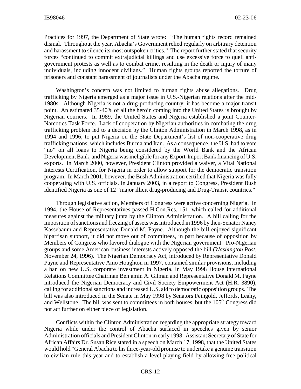Practices for 1997, the Department of State wrote: "The human rights record remained dismal. Throughout the year, Abacha's Government relied regularly on arbitrary detention and harassment to silence its most outspoken critics." The report further stated that security forces "continued to commit extrajudicial killings and use excessive force to quell antigovernment protests as well as to combat crime, resulting in the death or injury of many individuals, including innocent civilians." Human rights groups reported the torture of prisoners and constant harassment of journalists under the Abacha regime.

Washington's concern was not limited to human rights abuse allegations. Drug trafficking by Nigeria emerged as a major issue in U.S.-Nigerian relations after the mid-1980s. Although Nigeria is not a drug-producing country, it has become a major transit point. An estimated 35-40% of all the heroin coming into the United States is brought by Nigerian couriers. In 1989, the United States and Nigeria established a joint Counter-Narcotics Task Force. Lack of cooperation by Nigerian authorities in combating the drug trafficking problem led to a decision by the Clinton Administration in March 1998, as in 1994 and 1996, to put Nigeria on the State Department's list of non-cooperative drug trafficking nations, which includes Burma and Iran. As a consequence, the U.S. had to vote "no" on all loans to Nigeria being considered by the World Bank and the African Development Bank, and Nigeria was ineligible for any Export-Import Bank financing of U.S. exports. In March 2000, however, President Clinton provided a waiver, a Vital National Interests Certification, for Nigeria in order to allow support for the democratic transition program. In March 2001, however, the Bush Administration certified that Nigeria was fully cooperating with U.S. officials. In January 2003, in a report to Congress, President Bush identified Nigeria as one of 12 "major illicit drug-producing and Drug-Transit countries."

Through legislative action, Members of Congress were active concerning Nigeria. In 1994, the House of Representatives passed H.Con.Res. 151, which called for additional measures against the military junta by the Clinton Administration. A bill calling for the imposition of sanctions and freezing of assets was introduced in 1996 by then-Senator Nancy Kassebaum and Representative Donald M. Payne. Although the bill enjoyed significant bipartisan support, it did not move out of committees, in part because of opposition by Members of Congress who favored dialogue with the Nigerian government. Pro-Nigerian groups and some American business interests actively opposed the bill (*Washington Post*, November 24, 1996). The Nigerian Democracy Act, introduced by Representative Donald Payne and Representative Amo Houghton in 1997, contained similar provisions, including a ban on new U.S. corporate investment in Nigeria. In May 1998 House International Relations Committee Chairman Benjamin A. Gilman and Representative Donald M. Payne introduced the Nigerian Democracy and Civil Society Empowerment Act (H.R. 3890), calling for additional sanctions and increased U.S. aid to democratic opposition groups. The bill was also introduced in the Senate in May 1998 by Senators Feingold, Jeffords, Leahy, and Wellstone. The bill was sent to committees in both houses, but the  $105<sup>th</sup>$  Congress did not act further on either piece of legislation.

Conflicts within the Clinton Administration regarding the appropriate strategy toward Nigeria while under the control of Abacha surfaced in speeches given by senior Administration officials and President Clinton in early 1998. Assistant Secretary of State for African Affairs Dr. Susan Rice stated in a speech on March 17, 1998, that the United States would hold "General Abacha to his three-year-old promise to undertake a genuine transition to civilian rule this year and to establish a level playing field by allowing free political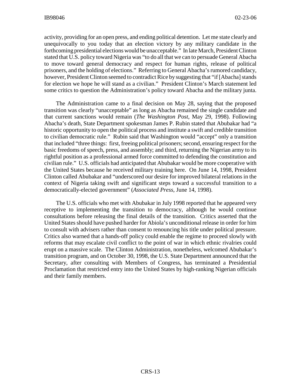activity, providing for an open press, and ending political detention. Let me state clearly and unequivocally to you today that an election victory by any military candidate in the forthcoming presidential elections would be unacceptable." In late March, President Clinton stated that U.S. policy toward Nigeria was "to do all that we can to persuade General Abacha to move toward general democracy and respect for human rights, release of political prisoners, and the holding of elections." Referring to General Abacha's rumored candidacy, however, President Clinton seemed to contradict Rice by suggesting that "if [Abacha] stands for election we hope he will stand as a civilian." President Clinton's March statement led some critics to question the Administration's policy toward Abacha and the military junta.

The Administration came to a final decision on May 28, saying that the proposed transition was clearly "unacceptable" as long as Abacha remained the single candidate and that current sanctions would remain (*The Washington Post*, May 29, 1998). Following Abacha's death, State Department spokesman James P. Rubin stated that Abubakar had "a historic opportunity to open the political process and institute a swift and credible transition to civilian democratic rule." Rubin said that Washington would "accept" only a transition that included "three things: first, freeing political prisoners; second, ensuring respect for the basic freedoms of speech, press, and assembly; and third, returning the Nigerian army to its rightful position as a professional armed force committed to defending the constitution and civilian rule." U.S. officials had anticipated that Abubakar would be more cooperative with the United States because he received military training here. On June 14, 1998, President Clinton called Abubakar and "underscored our desire for improved bilateral relations in the context of Nigeria taking swift and significant steps toward a successful transition to a democratically-elected government" (*Associated Press*, June 14, 1998).

The U.S. officials who met with Abubakar in July 1998 reported that he appeared very receptive to implementing the transition to democracy, although he would continue consultations before releasing the final details of the transition. Critics asserted that the United States should have pushed harder for Abiola's unconditional release in order for him to consult with advisers rather than consent to renouncing his title under political pressure. Critics also warned that a hands-off policy could enable the regime to proceed slowly with reforms that may escalate civil conflict to the point of war in which ethnic rivalries could erupt on a massive scale. The Clinton Administration, nonetheless, welcomed Abubakar's transition program, and on October 30, 1998, the U.S. State Department announced that the Secretary, after consulting with Members of Congress, has terminated a Presidential Proclamation that restricted entry into the United States by high-ranking Nigerian officials and their family members.